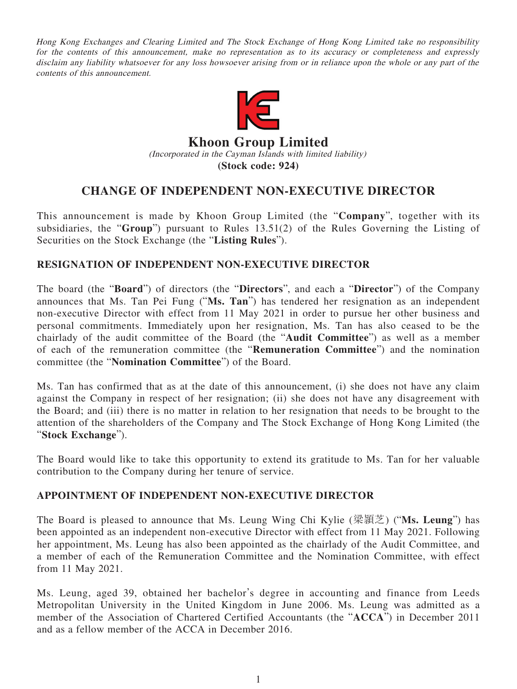Hong Kong Exchanges and Clearing Limited and The Stock Exchange of Hong Kong Limited take no responsibility for the contents of this announcement, make no representation as to its accuracy or completeness and expressly disclaim any liability whatsoever for any loss howsoever arising from or in reliance upon the whole or any part of the contents of this announcement.



## **Khoon Group Limited** (Incorporated in the Cayman Islands with limited liability) **(Stock code: 924)**

## **CHANGE OF INDEPENDENT NON-EXECUTIVE DIRECTOR**

This announcement is made by Khoon Group Limited (the "**Company**", together with its subsidiaries, the "**Group**") pursuant to Rules 13.51(2) of the Rules Governing the Listing of Securities on the Stock Exchange (the "**Listing Rules**").

## **RESIGNATION OF INDEPENDENT NON-EXECUTIVE DIRECTOR**

The board (the "**Board**") of directors (the "**Directors**", and each a "**Director**") of the Company announces that Ms. Tan Pei Fung ("**Ms. Tan**") has tendered her resignation as an independent non-executive Director with effect from 11 May 2021 in order to pursue her other business and personal commitments. Immediately upon her resignation, Ms. Tan has also ceased to be the chairlady of the audit committee of the Board (the "**Audit Committee**") as well as a member of each of the remuneration committee (the "**Remuneration Committee**") and the nomination committee (the "**Nomination Committee**") of the Board.

Ms. Tan has confirmed that as at the date of this announcement, (i) she does not have any claim against the Company in respect of her resignation; (ii) she does not have any disagreement with the Board; and (iii) there is no matter in relation to her resignation that needs to be brought to the attention of the shareholders of the Company and The Stock Exchange of Hong Kong Limited (the "**Stock Exchange**").

The Board would like to take this opportunity to extend its gratitude to Ms. Tan for her valuable contribution to the Company during her tenure of service.

## **APPOINTMENT OF INDEPENDENT NON-EXECUTIVE DIRECTOR**

The Board is pleased to announce that Ms. Leung Wing Chi Kylie (梁頴芝) ("**Ms. Leung**") has been appointed as an independent non-executive Director with effect from 11 May 2021. Following her appointment, Ms. Leung has also been appointed as the chairlady of the Audit Committee, and a member of each of the Remuneration Committee and the Nomination Committee, with effect from 11 May 2021.

Ms. Leung, aged 39, obtained her bachelor's degree in accounting and finance from Leeds Metropolitan University in the United Kingdom in June 2006. Ms. Leung was admitted as a member of the Association of Chartered Certified Accountants (the "**ACCA**") in December 2011 and as a fellow member of the ACCA in December 2016.